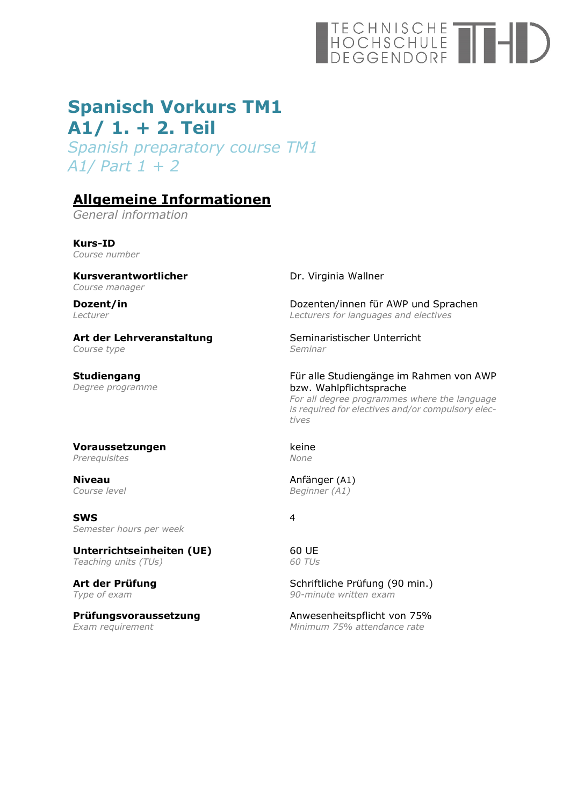# TECHNISCHE<br>HOCHSCHULE<br>DEGGENDORF

## **Spanisch Vorkurs TM1 A1/ 1. + 2. Teil**

*Spanish preparatory course TM1 A1/ Part 1 + 2* 

## **Allgemeine Informationen**

*General information* 

**Kurs-ID**  *Course number* 

**Kursverantwortlicher**  *Course manager*

**Dozent/in**  *Lecturer* 

**Art der Lehrveranstaltung**  *Course type*

**Studiengang**  *Degree programme*

#### Dr. Virginia Wallner

Dozenten/innen für AWP und Sprachen *Lecturers for languages and electives*

Seminaristischer Unterricht *Seminar* 

#### Für alle Studiengänge im Rahmen von AWP bzw. Wahlpflichtsprache

*For all degree programmes where the language is required for electives and/or compulsory electives* 

#### **Voraussetzungen**  *Prerequisites*

**Niveau**  *Course level*

**SWS**  *Semester hours per week* 

**Unterrichtseinheiten (UE)**  *Teaching units (TUs)* 

**Art der Prüfung**  *Type of exam* 

**Prüfungsvoraussetzung**  *Exam requirement*

keine *None* 

Anfänger (A1) *Beginner (A1)* 

4

60 UE *60 TUs*

Schriftliche Prüfung (90 min.) *90-minute written exam*

Anwesenheitspflicht von 75% *Minimum 75% attendance rate*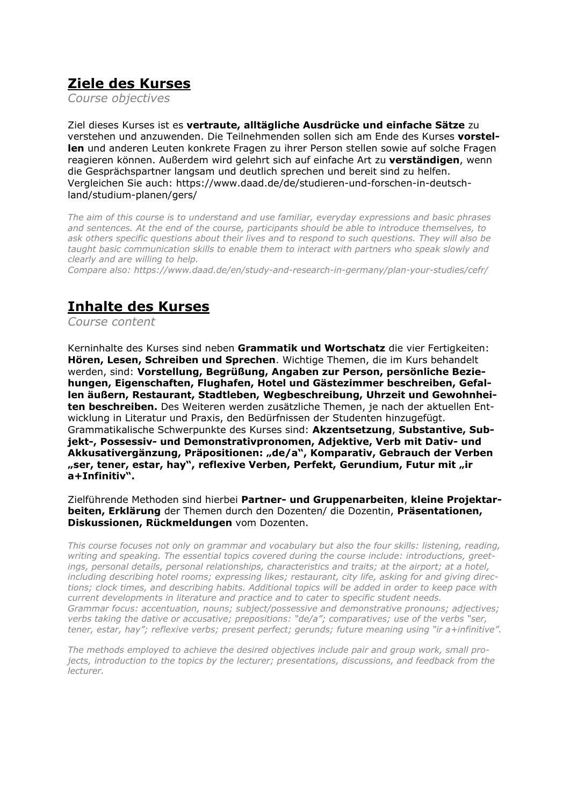## **Ziele des Kurses**

*Course objectives* 

Ziel dieses Kurses ist es **vertraute, alltägliche Ausdrücke und einfache Sätze** zu verstehen und anzuwenden. Die Teilnehmenden sollen sich am Ende des Kurses **vorstellen** und anderen Leuten konkrete Fragen zu ihrer Person stellen sowie auf solche Fragen reagieren können. Außerdem wird gelehrt sich auf einfache Art zu **verständigen**, wenn die Gesprächspartner langsam und deutlich sprechen und bereit sind zu helfen. Vergleichen Sie auch: https://www.daad.de/de/studieren-und-forschen-in-deutschland/studium-planen/gers/

*The aim of this course is to understand and use familiar, everyday expressions and basic phrases and sentences. At the end of the course, participants should be able to introduce themselves, to ask others specific questions about their lives and to respond to such questions. They will also be taught basic communication skills to enable them to interact with partners who speak slowly and clearly and are willing to help.* 

*Compare also: https://www.daad.de/en/study-and-research-in-germany/plan-your-studies/cefr/* 

## **Inhalte des Kurses**

*Course content*

Kerninhalte des Kurses sind neben **Grammatik und Wortschatz** die vier Fertigkeiten: **Hören, Lesen, Schreiben und Sprechen**. Wichtige Themen, die im Kurs behandelt werden, sind: **Vorstellung, Begrüßung, Angaben zur Person, persönliche Beziehungen, Eigenschaften, Flughafen, Hotel und Gästezimmer beschreiben, Gefallen äußern, Restaurant, Stadtleben, Wegbeschreibung, Uhrzeit und Gewohnheiten beschreiben.** Des Weiteren werden zusätzliche Themen, je nach der aktuellen Entwicklung in Literatur und Praxis, den Bedürfnissen der Studenten hinzugefügt. Grammatikalische Schwerpunkte des Kurses sind: **Akzentsetzung**, **Substantive, Subjekt-, Possessiv- und Demonstrativpronomen, Adjektive, Verb mit Dativ- und**  Akkusativergänzung, Präpositionen: "de/a", Komparativ, Gebrauch der Verben "ser, tener, estar, hay", reflexive Verben, Perfekt, Gerundium, Futur mit "ir **a+Infinitiv".** 

Zielführende Methoden sind hierbei **Partner- und Gruppenarbeiten**, **kleine Projektarbeiten, Erklärung** der Themen durch den Dozenten/ die Dozentin, **Präsentationen, Diskussionen, Rückmeldungen** vom Dozenten.

*This course focuses not only on grammar and vocabulary but also the four skills: listening, reading, writing and speaking. The essential topics covered during the course include: introductions, greetings, personal details, personal relationships, characteristics and traits; at the airport; at a hotel, including describing hotel rooms; expressing likes; restaurant, city life, asking for and giving directions; clock times, and describing habits. Additional topics will be added in order to keep pace with current developments in literature and practice and to cater to specific student needs. Grammar focus: accentuation, nouns; subject/possessive and demonstrative pronouns; adjectives; verbs taking the dative or accusative; prepositions: "de/a"; comparatives; use of the verbs "ser, tener, estar, hay"; reflexive verbs; present perfect; gerunds; future meaning using "ir a+infinitive".* 

*The methods employed to achieve the desired objectives include pair and group work, small projects, introduction to the topics by the lecturer; presentations, discussions, and feedback from the lecturer.*